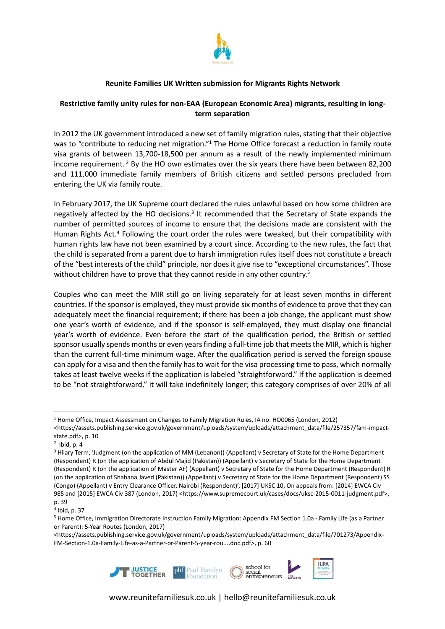

## **Reunite Families UK Written submission for Migrants Rights Network**

## **Restrictive family unity rules for non-EAA (European Economic Area) migrants, resulting in longterm separation**

In 2012 the UK government introduced a new set of family migration rules, stating that their objective was to "contribute to reducing net migration."<sup>1</sup> The Home Office forecast a reduction in family route visa grants of between 13,700-18,500 per annum as a result of the newly implemented minimum income requirement.<sup>2</sup> By the HO own estimates over the six years there have been between 82,200 and 111,000 immediate family members of British citizens and settled persons precluded from entering the UK via family route.

In February 2017, the UK Supreme court declared the rules unlawful based on how some children are negatively affected by the HO decisions.<sup>3</sup> It recommended that the Secretary of State expands the number of permitted sources of income to ensure that the decisions made are consistent with the Human Rights Act.<sup>4</sup> Following the court order the rules were tweaked, but their compatibility with human rights law have not been examined by a court since. According to the new rules, the fact that the child is separated from a parent due to harsh immigration rules itself does not constitute a breach of the "best interests of the child" principle, nor does it give rise to "exceptional circumstances". Those without children have to prove that they cannot reside in any other country.<sup>5</sup>

Couples who can meet the MIR still go on living separately for at least seven months in different countries. If the sponsor is employed, they must provide six months of evidence to prove that they can adequately meet the financial requirement; if there has been a job change, the applicant must show one year's worth of evidence, and if the sponsor is self-employed, they must display one financial year's worth of evidence. Even before the start of the qualification period, the British or settled sponsor usually spends months or even years finding a full-time job that meets the MIR, which is higher than the current full-time minimum wage. After the qualification period is served the foreign spouse can apply for a visa and then the family hasto wait forthe visa processing time to pass, which normally takes at least twelve weeks if the application is labeled "straightforward." If the application is deemed to be "not straightforward," it will take indefinitely longer; this category comprises of over 20% of all

<sup>&</sup>lt;https://assets.publishing.service.gov.uk/government/uploads/system/uploads/attachment\_data/file/701273/Appendix-FM-Section-1.0a-Family-Life-as-a-Partner-or-Parent-5-year-rou....doc.pdf>, p. 60



<sup>&</sup>lt;sup>1</sup> Home Office, Impact Assessment on Changes to Family Migration Rules, IA no: HO0065 (London, 2012)

<sup>&</sup>lt;https://assets.publishing.service.gov.uk/government/uploads/system/uploads/attachment\_data/file/257357/fam-impactstate.pdf>, p. 10

 $<sup>2</sup>$  Ibid, p. 4</sup>

<sup>&</sup>lt;sup>3</sup> Hilary Term, 'Judgment (on the application of MM (Lebanon)) (Appellant) v Secretary of State for the Home Department (Respondent) R (on the application of Abdul Majid (Pakistan)) (Appellant) v Secretary of State for the Home Department (Respondent) R (on the application of Master AF) (Appellant) v Secretary of State for the Home Department (Respondent) R (on the application of Shabana Javed (Pakistan)) (Appellant) v Secretary of State for the Home Department (Respondent) SS (Congo) (Appellant) v Entry Clearance Officer, Nairobi (Respondent)', [2017] UKSC 10, On appeals from: [2014] EWCA Civ 985 and [2015] EWCA Civ 387 (London, 2017) <https://www.supremecourt.uk/cases/docs/uksc-2015-0011-judgment.pdf>, p. 39

<sup>4</sup> Ibid, p. 37

<sup>5</sup> Home Office, Immigration Directorate Instruction Family Migration: Appendix FM Section 1.0a - Family Life (as a Partner or Parent): 5-Year Routes (London, 2017)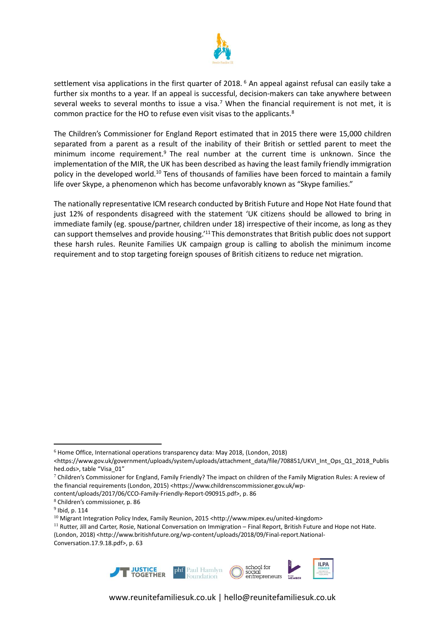

settlement visa applications in the first quarter of 2018.<sup>6</sup> An appeal against refusal can easily take a further six months to a year. If an appeal is successful, decision-makers can take anywhere between several weeks to several months to issue a visa.<sup>7</sup> When the financial requirement is not met, it is common practice for the HO to refuse even visit visas to the applicants.<sup>8</sup>

The Children's Commissioner for England Report estimated that in 2015 there were 15,000 children separated from a parent as a result of the inability of their British or settled parent to meet the minimum income requirement.<sup>9</sup> The real number at the current time is unknown. Since the implementation of the MIR, the UK has been described as having the least family friendly immigration policy in the developed world.<sup>10</sup> Tens of thousands of families have been forced to maintain a family life over Skype, a phenomenon which has become unfavorably known as "Skype families."

The nationally representative ICM research conducted by British Future and Hope Not Hate found that just 12% of respondents disagreed with the statement 'UK citizens should be allowed to bring in immediate family (eg. spouse/partner, children under 18) irrespective of their income, as long as they can support themselves and provide housing.'<sup>11</sup> This demonstrates that British public does notsupport these harsh rules. Reunite Families UK campaign group is calling to abolish the minimum income requirement and to stop targeting foreign spouses of British citizens to reduce net migration.

- content/uploads/2017/06/CCO-Family-Friendly-Report-090915.pdf>, p. 86
- <sup>8</sup> Children's commissioner, p. 86

<sup>(</sup>London, 2018) [<http://www.britishfuture.org/wp-content/uploads/2018/09/Final-report.National-](http://www.britishfuture.org/wp-content/uploads/2018/09/Final-report.National-Conversation.17.9.18.pdf)[Conversation.17.9.18.pdf>](http://www.britishfuture.org/wp-content/uploads/2018/09/Final-report.National-Conversation.17.9.18.pdf), p. 63



<sup>6</sup> Home Office, International operations transparency data: May 2018, (London, 2018)

<sup>&</sup>lt;https://www.gov.uk/government/uploads/system/uploads/attachment\_data/file/708851/UKVI\_Int\_Ops\_Q1\_2018\_Publis hed.ods>, table "Visa\_01"

 $7$  Children's Commissioner for England, Family Friendly? The impact on children of the Family Migration Rules: A review of the financial requirements (London, 2015) <https://www.childrenscommissioner.gov.uk/wp-

 $^9$  Ibid, p. 114

 $^{10}$  Migrant Integration Policy Index, Family Reunion, 2015 <http://www.mipex.eu/united-kingdom>

<sup>&</sup>lt;sup>11</sup> Rutter, Jill and Carter, Rosie, National Conversation on Immigration – Final Report, British Future and Hope not Hate.